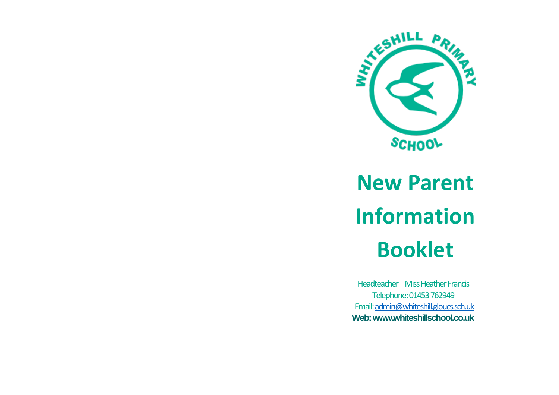

# **New Parent Information Booklet**

Headteacher – Miss Heather Francis Telephone: 01453 762949 Email[: admin@whiteshill.gloucs.sch.uk](mailto:admin@whiteshill.gloucs.sch.uk) **Web: www.whiteshillschool.co.uk**